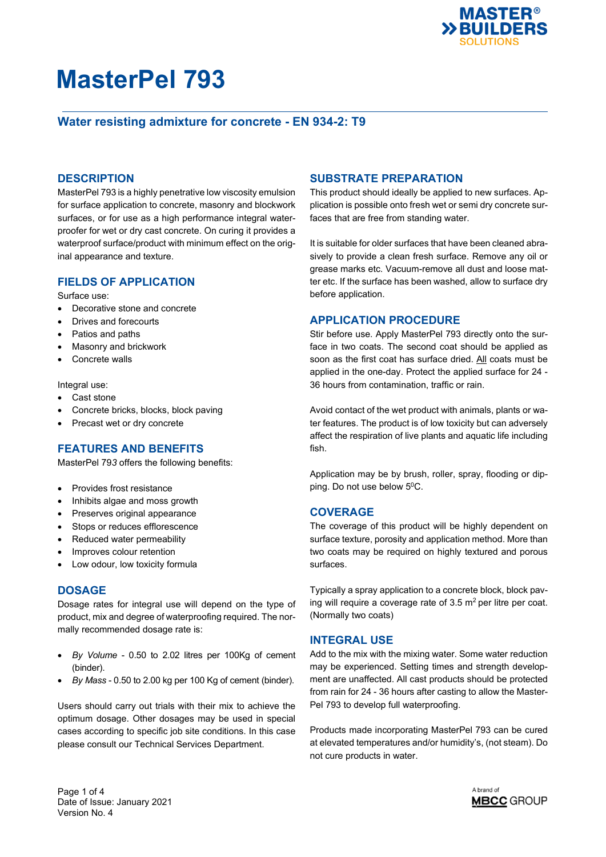

### **Water resisting admixture for concrete - EN 934-2: T9**

#### **DESCRIPTION**

MasterPel 793 is a highly penetrative low viscosity emulsion for surface application to concrete, masonry and blockwork surfaces, or for use as a high performance integral waterproofer for wet or dry cast concrete. On curing it provides a waterproof surface/product with minimum effect on the original appearance and texture.

#### **FIELDS OF APPLICATION**

Surface use:

- Decorative stone and concrete
- Drives and forecourts
- Patios and paths
- Masonry and brickwork
- Concrete walls

Integral use:

- Cast stone
- Concrete bricks, blocks, block paving
- Precast wet or dry concrete

#### **FEATURES AND BENEFITS**

MasterPel 79*3* offers the following benefits:

- Provides frost resistance
- Inhibits algae and moss growth
- Preserves original appearance
- Stops or reduces efflorescence
- Reduced water permeability
- Improves colour retention
- Low odour, low toxicity formula

#### **DOSAGE**

Dosage rates for integral use will depend on the type of product, mix and degree of waterproofing required. The normally recommended dosage rate is:

- *By Volume* 0.50 to 2.02 litres per 100Kg of cement (binder).
- *By Mass* 0.50 to 2.00 kg per 100 Kg of cement (binder).

Users should carry out trials with their mix to achieve the optimum dosage. Other dosages may be used in special cases according to specific job site conditions. In this case please consult our Technical Services Department.

#### **SUBSTRATE PREPARATION**

This product should ideally be applied to new surfaces. Application is possible onto fresh wet or semi dry concrete surfaces that are free from standing water.

It is suitable for older surfaces that have been cleaned abrasively to provide a clean fresh surface. Remove any oil or grease marks etc. Vacuum-remove all dust and loose matter etc. If the surface has been washed, allow to surface dry before application.

#### **APPLICATION PROCEDURE**

Stir before use. Apply MasterPel 793 directly onto the surface in two coats. The second coat should be applied as soon as the first coat has surface dried. All coats must be applied in the one-day. Protect the applied surface for 24 - 36 hours from contamination, traffic or rain.

Avoid contact of the wet product with animals, plants or water features. The product is of low toxicity but can adversely affect the respiration of live plants and aquatic life including fish.

Application may be by brush, roller, spray, flooding or dipping. Do not use below 5<sup>0</sup>C.

#### **COVERAGE**

The coverage of this product will be highly dependent on surface texture, porosity and application method. More than two coats may be required on highly textured and porous surfaces.

Typically a spray application to a concrete block, block paving will require a coverage rate of  $3.5 \text{ m}^2$  per litre per coat. (Normally two coats)

#### **INTEGRAL USE**

Add to the mix with the mixing water. Some water reduction may be experienced. Setting times and strength development are unaffected. All cast products should be protected from rain for 24 - 36 hours after casting to allow the Master-Pel 793 to develop full waterproofing.

Products made incorporating MasterPel 793 can be cured at elevated temperatures and/or humidity's, (not steam). Do not cure products in water.

Page 1 of 4 Date of Issue: January 2021 Version No. 4

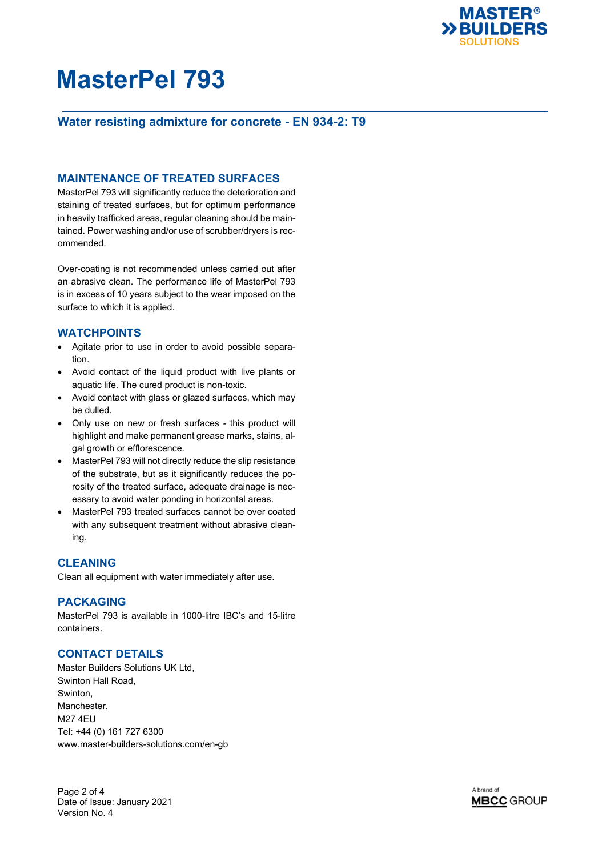

### **Water resisting admixture for concrete - EN 934-2: T9**

#### **MAINTENANCE OF TREATED SURFACES**

MasterPel 793 will significantly reduce the deterioration and staining of treated surfaces, but for optimum performance in heavily trafficked areas, regular cleaning should be maintained. Power washing and/or use of scrubber/dryers is recommended.

Over-coating is not recommended unless carried out after an abrasive clean. The performance life of MasterPel 793 is in excess of 10 years subject to the wear imposed on the surface to which it is applied.

#### **WATCHPOINTS**

- Agitate prior to use in order to avoid possible separation.
- Avoid contact of the liquid product with live plants or aquatic life. The cured product is non-toxic.
- Avoid contact with glass or glazed surfaces, which may be dulled.
- Only use on new or fresh surfaces this product will highlight and make permanent grease marks, stains, algal growth or efflorescence.
- MasterPel 793 will not directly reduce the slip resistance of the substrate, but as it significantly reduces the porosity of the treated surface, adequate drainage is necessary to avoid water ponding in horizontal areas.
- MasterPel 793 treated surfaces cannot be over coated with any subsequent treatment without abrasive cleaning.

#### **CLEANING**

Clean all equipment with water immediately after use.

#### **PACKAGING**

MasterPel 793 is available in 1000-litre IBC's and 15-litre containers.

### **CONTACT DETAILS**

Master Builders Solutions UK Ltd, Swinton Hall Road, Swinton, Manchester, M27 4EU Tel: +44 (0) 161 727 6300 www.master-builders-solutions.com/en-gb

Page 2 of 4 Date of Issue: January 2021 Version No. 4

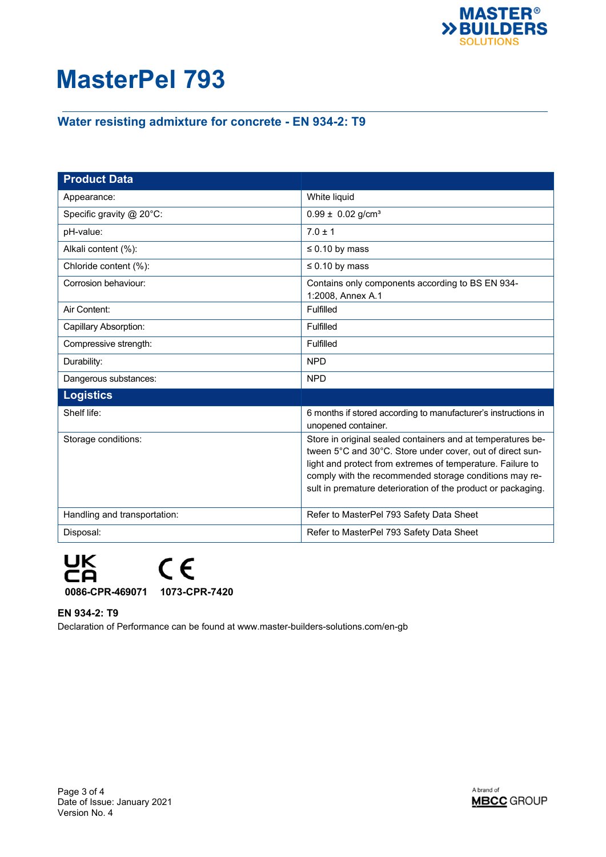

### **Water resisting admixture for concrete - EN 934-2: T9**

| <b>Product Data</b>          |                                                                                                                                                                                                                                                                                                                  |
|------------------------------|------------------------------------------------------------------------------------------------------------------------------------------------------------------------------------------------------------------------------------------------------------------------------------------------------------------|
| Appearance:                  | White liquid                                                                                                                                                                                                                                                                                                     |
| Specific gravity @ 20°C:     | $0.99 \pm 0.02$ g/cm <sup>3</sup>                                                                                                                                                                                                                                                                                |
| pH-value:                    | $7.0 \pm 1$                                                                                                                                                                                                                                                                                                      |
| Alkali content (%):          | $\leq$ 0.10 by mass                                                                                                                                                                                                                                                                                              |
| Chloride content (%):        | $\leq 0.10$ by mass                                                                                                                                                                                                                                                                                              |
| Corrosion behaviour:         | Contains only components according to BS EN 934-<br>1:2008, Annex A.1                                                                                                                                                                                                                                            |
| Air Content:                 | Fulfilled                                                                                                                                                                                                                                                                                                        |
| Capillary Absorption:        | Fulfilled                                                                                                                                                                                                                                                                                                        |
| Compressive strength:        | Fulfilled                                                                                                                                                                                                                                                                                                        |
| Durability:                  | <b>NPD</b>                                                                                                                                                                                                                                                                                                       |
| Dangerous substances:        | <b>NPD</b>                                                                                                                                                                                                                                                                                                       |
| <b>Logistics</b>             |                                                                                                                                                                                                                                                                                                                  |
| Shelf life:                  | 6 months if stored according to manufacturer's instructions in<br>unopened container.                                                                                                                                                                                                                            |
| Storage conditions:          | Store in original sealed containers and at temperatures be-<br>tween 5°C and 30°C. Store under cover, out of direct sun-<br>light and protect from extremes of temperature. Failure to<br>comply with the recommended storage conditions may re-<br>sult in premature deterioration of the product or packaging. |
| Handling and transportation: | Refer to MasterPel 793 Safety Data Sheet                                                                                                                                                                                                                                                                         |
| Disposal:                    | Refer to MasterPel 793 Safety Data Sheet                                                                                                                                                                                                                                                                         |



#### **EN 934-2: T9**

Declaration of Performance can be found at www.master-builders-solutions.com/en-gb